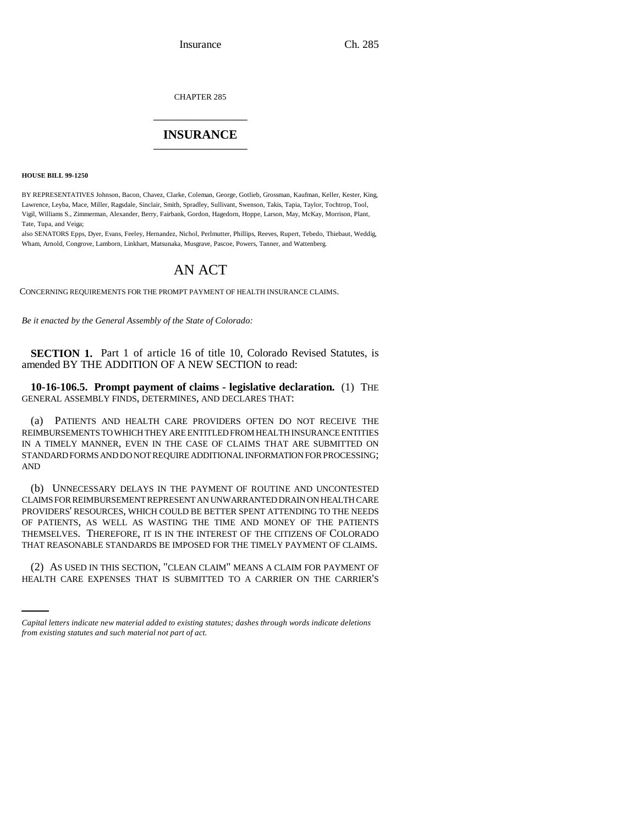CHAPTER 285 \_\_\_\_\_\_\_\_\_\_\_\_\_\_\_

## **INSURANCE** \_\_\_\_\_\_\_\_\_\_\_\_\_\_\_

**HOUSE BILL 99-1250** 

BY REPRESENTATIVES Johnson, Bacon, Chavez, Clarke, Coleman, George, Gotlieb, Grossman, Kaufman, Keller, Kester, King, Lawrence, Leyba, Mace, Miller, Ragsdale, Sinclair, Smith, Spradley, Sullivant, Swenson, Takis, Tapia, Taylor, Tochtrop, Tool, Vigil, Williams S., Zimmerman, Alexander, Berry, Fairbank, Gordon, Hagedorn, Hoppe, Larson, May, McKay, Morrison, Plant, Tate, Tupa, and Veiga;

also SENATORS Epps, Dyer, Evans, Feeley, Hernandez, Nichol, Perlmutter, Phillips, Reeves, Rupert, Tebedo, Thiebaut, Weddig, Wham, Arnold, Congrove, Lamborn, Linkhart, Matsunaka, Musgrave, Pascoe, Powers, Tanner, and Wattenberg.

# AN ACT

CONCERNING REQUIREMENTS FOR THE PROMPT PAYMENT OF HEALTH INSURANCE CLAIMS.

*Be it enacted by the General Assembly of the State of Colorado:*

**SECTION 1.** Part 1 of article 16 of title 10, Colorado Revised Statutes, is amended BY THE ADDITION OF A NEW SECTION to read:

**10-16-106.5. Prompt payment of claims - legislative declaration.** (1) THE GENERAL ASSEMBLY FINDS, DETERMINES, AND DECLARES THAT:

(a) PATIENTS AND HEALTH CARE PROVIDERS OFTEN DO NOT RECEIVE THE REIMBURSEMENTS TO WHICH THEY ARE ENTITLED FROM HEALTH INSURANCE ENTITIES IN A TIMELY MANNER, EVEN IN THE CASE OF CLAIMS THAT ARE SUBMITTED ON STANDARD FORMS AND DO NOT REQUIRE ADDITIONAL INFORMATION FOR PROCESSING; AND

(b) UNNECESSARY DELAYS IN THE PAYMENT OF ROUTINE AND UNCONTESTED CLAIMS FOR REIMBURSEMENT REPRESENT AN UNWARRANTED DRAIN ON HEALTH CARE PROVIDERS' RESOURCES, WHICH COULD BE BETTER SPENT ATTENDING TO THE NEEDS OF PATIENTS, AS WELL AS WASTING THE TIME AND MONEY OF THE PATIENTS THEMSELVES. THEREFORE, IT IS IN THE INTEREST OF THE CITIZENS OF COLORADO THAT REASONABLE STANDARDS BE IMPOSED FOR THE TIMELY PAYMENT OF CLAIMS.

in<br>Salah (2) AS USED IN THIS SECTION, "CLEAN CLAIM" MEANS A CLAIM FOR PAYMENT OF HEALTH CARE EXPENSES THAT IS SUBMITTED TO A CARRIER ON THE CARRIER'S

*Capital letters indicate new material added to existing statutes; dashes through words indicate deletions from existing statutes and such material not part of act.*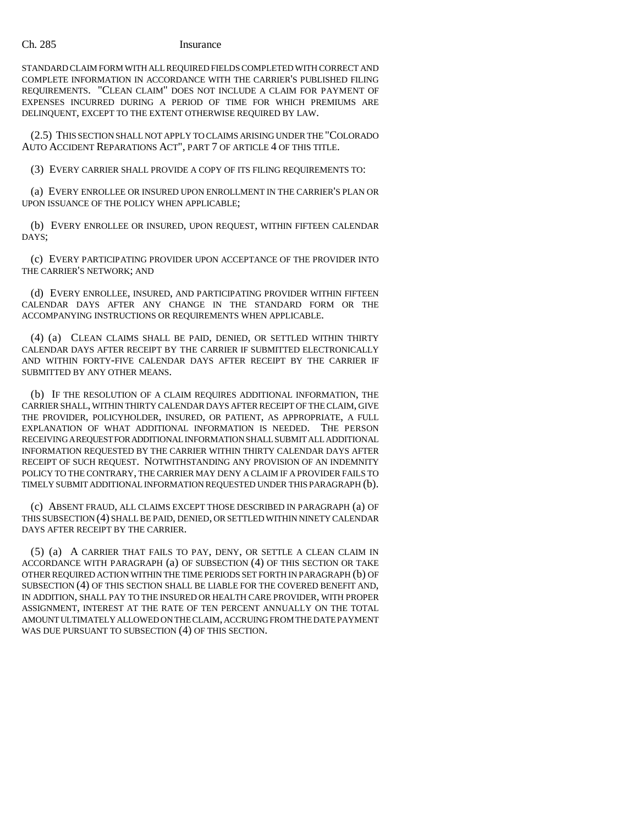### Ch. 285 Insurance

STANDARD CLAIM FORM WITH ALL REQUIRED FIELDS COMPLETED WITH CORRECT AND COMPLETE INFORMATION IN ACCORDANCE WITH THE CARRIER'S PUBLISHED FILING REQUIREMENTS. "CLEAN CLAIM" DOES NOT INCLUDE A CLAIM FOR PAYMENT OF EXPENSES INCURRED DURING A PERIOD OF TIME FOR WHICH PREMIUMS ARE DELINQUENT, EXCEPT TO THE EXTENT OTHERWISE REQUIRED BY LAW.

(2.5) THIS SECTION SHALL NOT APPLY TO CLAIMS ARISING UNDER THE "COLORADO AUTO ACCIDENT REPARATIONS ACT", PART 7 OF ARTICLE 4 OF THIS TITLE.

(3) EVERY CARRIER SHALL PROVIDE A COPY OF ITS FILING REQUIREMENTS TO:

(a) EVERY ENROLLEE OR INSURED UPON ENROLLMENT IN THE CARRIER'S PLAN OR UPON ISSUANCE OF THE POLICY WHEN APPLICABLE;

(b) EVERY ENROLLEE OR INSURED, UPON REQUEST, WITHIN FIFTEEN CALENDAR DAYS;

(c) EVERY PARTICIPATING PROVIDER UPON ACCEPTANCE OF THE PROVIDER INTO THE CARRIER'S NETWORK; AND

(d) EVERY ENROLLEE, INSURED, AND PARTICIPATING PROVIDER WITHIN FIFTEEN CALENDAR DAYS AFTER ANY CHANGE IN THE STANDARD FORM OR THE ACCOMPANYING INSTRUCTIONS OR REQUIREMENTS WHEN APPLICABLE.

(4) (a) CLEAN CLAIMS SHALL BE PAID, DENIED, OR SETTLED WITHIN THIRTY CALENDAR DAYS AFTER RECEIPT BY THE CARRIER IF SUBMITTED ELECTRONICALLY AND WITHIN FORTY-FIVE CALENDAR DAYS AFTER RECEIPT BY THE CARRIER IF SUBMITTED BY ANY OTHER MEANS.

(b) IF THE RESOLUTION OF A CLAIM REQUIRES ADDITIONAL INFORMATION, THE CARRIER SHALL, WITHIN THIRTY CALENDAR DAYS AFTER RECEIPT OF THE CLAIM, GIVE THE PROVIDER, POLICYHOLDER, INSURED, OR PATIENT, AS APPROPRIATE, A FULL EXPLANATION OF WHAT ADDITIONAL INFORMATION IS NEEDED. THE PERSON RECEIVING A REQUEST FOR ADDITIONAL INFORMATION SHALL SUBMIT ALL ADDITIONAL INFORMATION REQUESTED BY THE CARRIER WITHIN THIRTY CALENDAR DAYS AFTER RECEIPT OF SUCH REQUEST. NOTWITHSTANDING ANY PROVISION OF AN INDEMNITY POLICY TO THE CONTRARY, THE CARRIER MAY DENY A CLAIM IF A PROVIDER FAILS TO TIMELY SUBMIT ADDITIONAL INFORMATION REQUESTED UNDER THIS PARAGRAPH (b).

(c) ABSENT FRAUD, ALL CLAIMS EXCEPT THOSE DESCRIBED IN PARAGRAPH (a) OF THIS SUBSECTION (4) SHALL BE PAID, DENIED, OR SETTLED WITHIN NINETY CALENDAR DAYS AFTER RECEIPT BY THE CARRIER.

(5) (a) A CARRIER THAT FAILS TO PAY, DENY, OR SETTLE A CLEAN CLAIM IN ACCORDANCE WITH PARAGRAPH (a) OF SUBSECTION (4) OF THIS SECTION OR TAKE OTHER REQUIRED ACTION WITHIN THE TIME PERIODS SET FORTH IN PARAGRAPH (b) OF SUBSECTION (4) OF THIS SECTION SHALL BE LIABLE FOR THE COVERED BENEFIT AND, IN ADDITION, SHALL PAY TO THE INSURED OR HEALTH CARE PROVIDER, WITH PROPER ASSIGNMENT, INTEREST AT THE RATE OF TEN PERCENT ANNUALLY ON THE TOTAL AMOUNT ULTIMATELY ALLOWED ON THE CLAIM, ACCRUING FROM THE DATE PAYMENT WAS DUE PURSUANT TO SUBSECTION (4) OF THIS SECTION.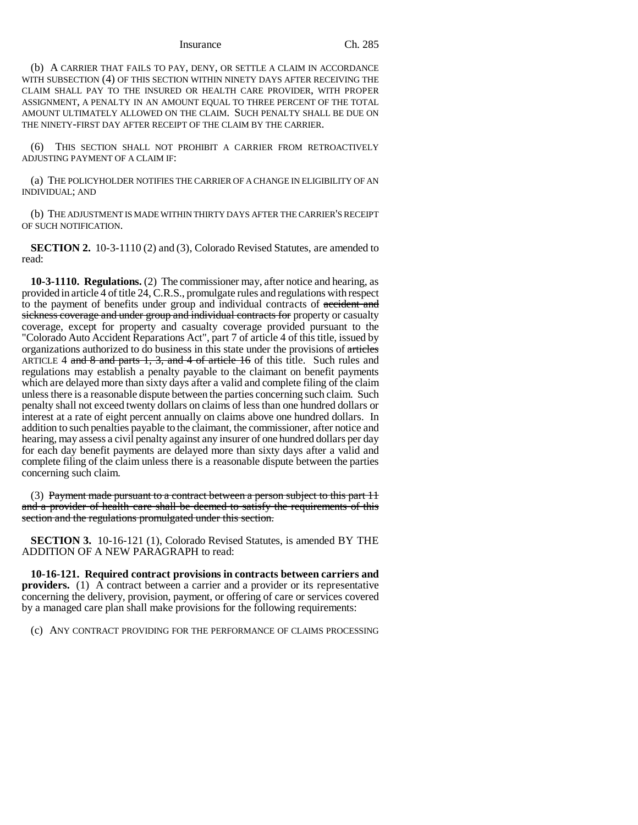### Insurance Ch. 285

(b) A CARRIER THAT FAILS TO PAY, DENY, OR SETTLE A CLAIM IN ACCORDANCE WITH SUBSECTION (4) OF THIS SECTION WITHIN NINETY DAYS AFTER RECEIVING THE CLAIM SHALL PAY TO THE INSURED OR HEALTH CARE PROVIDER, WITH PROPER ASSIGNMENT, A PENALTY IN AN AMOUNT EQUAL TO THREE PERCENT OF THE TOTAL AMOUNT ULTIMATELY ALLOWED ON THE CLAIM. SUCH PENALTY SHALL BE DUE ON THE NINETY-FIRST DAY AFTER RECEIPT OF THE CLAIM BY THE CARRIER.

(6) THIS SECTION SHALL NOT PROHIBIT A CARRIER FROM RETROACTIVELY ADJUSTING PAYMENT OF A CLAIM IF:

(a) THE POLICYHOLDER NOTIFIES THE CARRIER OF A CHANGE IN ELIGIBILITY OF AN INDIVIDUAL; AND

(b) THE ADJUSTMENT IS MADE WITHIN THIRTY DAYS AFTER THE CARRIER'S RECEIPT OF SUCH NOTIFICATION.

**SECTION 2.** 10-3-1110 (2) and (3), Colorado Revised Statutes, are amended to read:

**10-3-1110. Regulations.** (2) The commissioner may, after notice and hearing, as provided in article 4 of title 24, C.R.S., promulgate rules and regulations with respect to the payment of benefits under group and individual contracts of accident and sickness coverage and under group and individual contracts for property or casualty coverage, except for property and casualty coverage provided pursuant to the "Colorado Auto Accident Reparations Act", part 7 of article 4 of this title, issued by organizations authorized to do business in this state under the provisions of articles ARTICLE 4 and 8 and parts 1, 3, and 4 of article 16 of this title. Such rules and regulations may establish a penalty payable to the claimant on benefit payments which are delayed more than sixty days after a valid and complete filing of the claim unless there is a reasonable dispute between the parties concerning such claim. Such penalty shall not exceed twenty dollars on claims of less than one hundred dollars or interest at a rate of eight percent annually on claims above one hundred dollars. In addition to such penalties payable to the claimant, the commissioner, after notice and hearing, may assess a civil penalty against any insurer of one hundred dollars per day for each day benefit payments are delayed more than sixty days after a valid and complete filing of the claim unless there is a reasonable dispute between the parties concerning such claim.

(3) Payment made pursuant to a contract between a person subject to this part 11 and a provider of health care shall be deemed to satisfy the requirements of this section and the regulations promulgated under this section.

**SECTION 3.** 10-16-121 (1), Colorado Revised Statutes, is amended BY THE ADDITION OF A NEW PARAGRAPH to read:

**10-16-121. Required contract provisions in contracts between carriers and providers.** (1) A contract between a carrier and a provider or its representative concerning the delivery, provision, payment, or offering of care or services covered by a managed care plan shall make provisions for the following requirements:

(c) ANY CONTRACT PROVIDING FOR THE PERFORMANCE OF CLAIMS PROCESSING